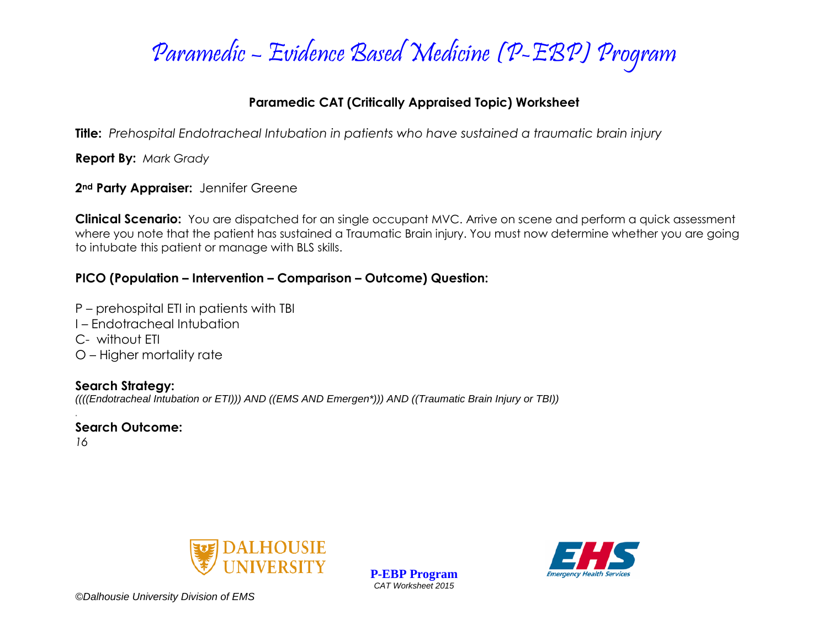

#### **Paramedic CAT (Critically Appraised Topic) Worksheet**

**Title:** *Prehospital Endotracheal Intubation in patients who have sustained a traumatic brain injury*

**Report By:** *Mark Grady*

**2nd Party Appraiser:** Jennifer Greene

**Clinical Scenario:** You are dispatched for an single occupant MVC. Arrive on scene and perform a quick assessment where you note that the patient has sustained a Traumatic Brain injury. You must now determine whether you are going to intubate this patient or manage with BLS skills.

### **PICO (Population – Intervention – Comparison – Outcome) Question:**

P – prehospital ETI in patients with TBI

- I Endotracheal Intubation
- C- without ETI
- O Higher mortality rate

**Search Strategy:** *((((Endotracheal Intubation or ETI))) AND ((EMS AND Emergen\*))) AND ((Traumatic Brain Injury or TBI))*

*.* **Search Outcome:**

*16*



**P-EBP Program** *CAT Worksheet 2015*

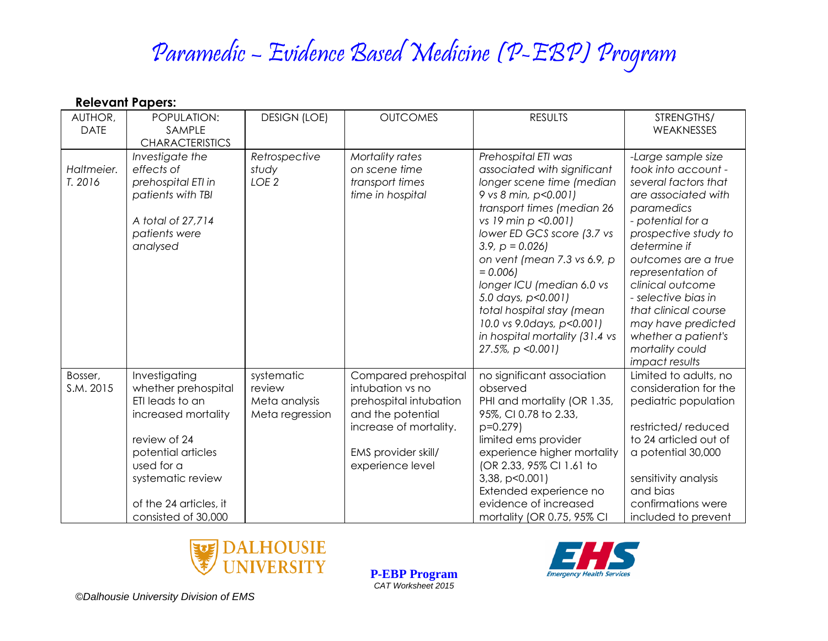# Paramedic – Evidence Based Medicine (P-EBP) Program

| AUTHOR,<br><b>DATE</b> | POPULATION:<br>SAMPLE                                                                                                                                                                                    | <b>DESIGN (LOE)</b>                                      | <b>OUTCOMES</b>                                                                                                                                              | <b>RESULTS</b>                                                                                                                                                                                                                                                                                                                                                                                                                      | STRENGTHS/<br>WEAKNESSES                                                                                                                                                                                                                                                                                                                                             |
|------------------------|----------------------------------------------------------------------------------------------------------------------------------------------------------------------------------------------------------|----------------------------------------------------------|--------------------------------------------------------------------------------------------------------------------------------------------------------------|-------------------------------------------------------------------------------------------------------------------------------------------------------------------------------------------------------------------------------------------------------------------------------------------------------------------------------------------------------------------------------------------------------------------------------------|----------------------------------------------------------------------------------------------------------------------------------------------------------------------------------------------------------------------------------------------------------------------------------------------------------------------------------------------------------------------|
|                        | <b>CHARACTERISTICS</b>                                                                                                                                                                                   |                                                          |                                                                                                                                                              |                                                                                                                                                                                                                                                                                                                                                                                                                                     |                                                                                                                                                                                                                                                                                                                                                                      |
| Haltmeier.<br>T. 2016  | Investigate the<br>effects of<br>prehospital ETI in<br>patients with TBI<br>A total of 27,714<br>patients were<br>analysed                                                                               | Retrospective<br>study<br>LOE <sub>2</sub>               | Mortality rates<br>on scene time<br>transport times<br>time in hospital                                                                                      | Prehospital ETI was<br>associated with significant<br>longer scene time (median<br>9 vs 8 min, p<0.001)<br>transport times (median 26<br>vs 19 min p < 0.001)<br>lower ED GCS score (3.7 vs<br>$3.9, p = 0.026$<br>on vent (mean 7.3 vs 6.9, p<br>$= 0.006$<br>longer ICU (median 6.0 vs<br>5.0 days, p<0.001)<br>total hospital stay (mean<br>10.0 vs 9.0days, p<0.001)<br>in hospital mortality (31.4 vs<br>$27.5\%$ , p < 0.001) | -Large sample size<br>took into account -<br>several factors that<br>are associated with<br>paramedics<br>- potential for a<br>prospective study to<br>determine if<br>outcomes are a true<br>representation of<br>clinical outcome<br>- selective bias in<br>that clinical course<br>may have predicted<br>whether a patient's<br>mortality could<br>impact results |
| Bosser,<br>S.M. 2015   | Investigating<br>whether prehospital<br>ETI leads to an<br>increased mortality<br>review of 24<br>potential articles<br>used for a<br>systematic review<br>of the 24 articles, it<br>consisted of 30,000 | systematic<br>review<br>Meta analysis<br>Meta regression | Compared prehospital<br>intubation vs no<br>prehospital intubation<br>and the potential<br>increase of mortality.<br>EMS provider skill/<br>experience level | no significant association<br>observed<br>PHI and mortality (OR 1.35,<br>95%, CI 0.78 to 2.33,<br>$p=0.279$<br>limited ems provider<br>experience higher mortality<br>(OR 2.33, 95% CI 1.61 to<br>3,38, p<0.001<br>Extended experience no<br>evidence of increased<br>mortality (OR 0.75, 95% CI                                                                                                                                    | Limited to adults, no<br>consideration for the<br>pediatric population<br>restricted/reduced<br>to 24 articled out of<br>a potential 30,000<br>sensitivity analysis<br>and bias<br>confirmations were<br>included to prevent                                                                                                                                         |



**P-EBP Program** *CAT Worksheet 2015*

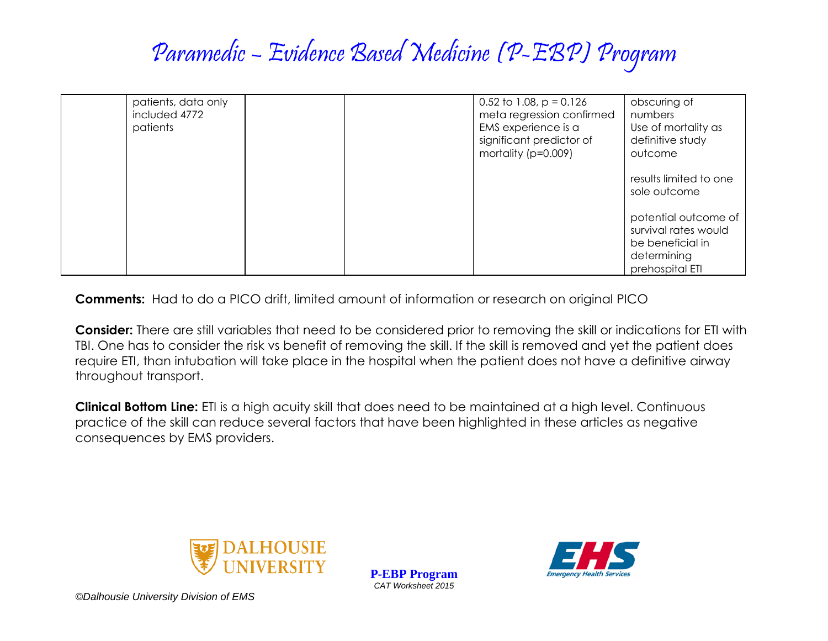## Paramedic – Evidence Based Medicine (P-EBP) Program

| patients, data only<br>included 4772<br>patients |  | 0.52 to 1.08, $p = 0.126$<br>meta regression confirmed<br>EMS experience is a<br>significant predictor of<br>mortality (p=0.009) | obscuring of<br>numbers<br>Use of mortality as<br>definitive study<br>outcome                      |
|--------------------------------------------------|--|----------------------------------------------------------------------------------------------------------------------------------|----------------------------------------------------------------------------------------------------|
|                                                  |  |                                                                                                                                  | results limited to one<br>sole outcome                                                             |
|                                                  |  |                                                                                                                                  | potential outcome of<br>survival rates would<br>be beneficial in<br>determining<br>prehospital ETI |

**Comments:** Had to do a PICO drift, limited amount of information or research on original PICO

**Consider:** There are still variables that need to be considered prior to removing the skill or indications for ETI with TBI. One has to consider the risk vs benefit of removing the skill. If the skill is removed and yet the patient does require ETI, than intubation will take place in the hospital when the patient does not have a definitive airway throughout transport.

**Clinical Bottom Line:** ETI is a high acuity skill that does need to be maintained at a high level. Continuous practice of the skill can reduce several factors that have been highlighted in these articles as negative consequences by EMS providers.



**P-EBP Program** *CAT Worksheet 2015*